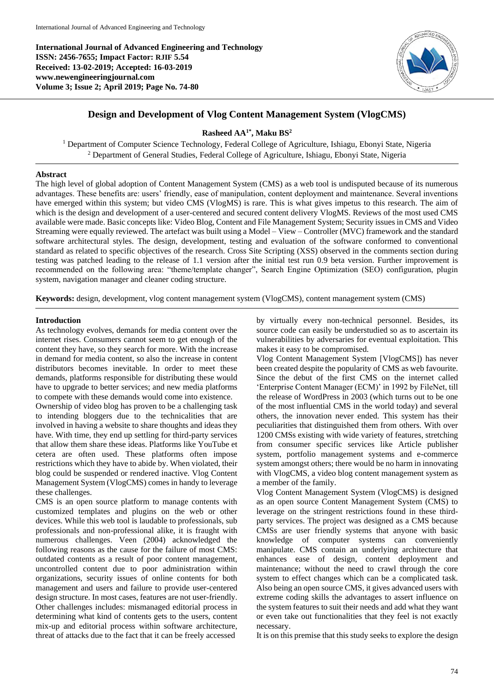**International Journal of Advanced Engineering and Technology ISSN: 2456-7655; Impact Factor: RJIF 5.54 Received: 13-02-2019; Accepted: 16-03-2019 www.newengineeringjournal.com Volume 3; Issue 2; April 2019; Page No. 74-80**



# **Design and Development of Vlog Content Management System (VlogCMS)**

# **Rasheed AA1\* , Maku BS<sup>2</sup>**

<sup>1</sup> Department of Computer Science Technology, Federal College of Agriculture, Ishiagu, Ebonyi State, Nigeria <sup>2</sup> Department of General Studies, Federal College of Agriculture, Ishiagu, Ebonyi State, Nigeria

## **Abstract**

The high level of global adoption of Content Management System (CMS) as a web tool is undisputed because of its numerous advantages. These benefits are: users' friendly, ease of manipulation, content deployment and maintenance. Several inventions have emerged within this system; but video CMS (VlogMS) is rare. This is what gives impetus to this research. The aim of which is the design and development of a user-centered and secured content delivery VlogMS. Reviews of the most used CMS available were made. Basic concepts like: Video Blog, Content and File Management System; Security issues in CMS and Video Streaming were equally reviewed. The artefact was built using a Model – View – Controller (MVC) framework and the standard software architectural styles. The design, development, testing and evaluation of the software conformed to conventional standard as related to specific objectives of the research. Cross Site Scripting (XSS) observed in the comments section during testing was patched leading to the release of 1.1 version after the initial test run 0.9 beta version. Further improvement is recommended on the following area: "theme/template changer", Search Engine Optimization (SEO) configuration, plugin system*,* navigation manager and cleaner coding structure.

**Keywords:** design, development, vlog content management system (VlogCMS), content management system (CMS)

# **Introduction**

As technology evolves, demands for media content over the internet rises. Consumers cannot seem to get enough of the content they have, so they search for more. With the increase in demand for media content, so also the increase in content distributors becomes inevitable. In order to meet these demands, platforms responsible for distributing these would have to upgrade to better services; and new media platforms to compete with these demands would come into existence.

Ownership of video blog has proven to be a challenging task to intending bloggers due to the technicalities that are involved in having a website to share thoughts and ideas they have. With time, they end up settling for third-party services that allow them share these ideas. Platforms like YouTube et cetera are often used. These platforms often impose restrictions which they have to abide by. When violated, their blog could be suspended or rendered inactive. Vlog Content Management System (VlogCMS) comes in handy to leverage these challenges.

CMS is an open source platform to manage contents with customized templates and plugins on the web or other devices. While this web tool is laudable to professionals, sub professionals and non-professional alike, it is fraught with numerous challenges. Veen (2004) acknowledged the following reasons as the cause for the failure of most CMS: outdated contents as a result of poor content management, uncontrolled content due to poor administration within organizations, security issues of online contents for both management and users and failure to provide user-centered design structure. In most cases, features are not user-friendly. Other challenges includes: mismanaged editorial process in determining what kind of contents gets to the users, content mix-up and editorial process within software architecture, threat of attacks due to the fact that it can be freely accessed

by virtually every non-technical personnel. Besides, its source code can easily be understudied so as to ascertain its vulnerabilities by adversaries for eventual exploitation. This makes it easy to be compromised.

Vlog Content Management System [VlogCMS]) has never been created despite the popularity of CMS as web favourite. Since the debut of the first CMS on the internet called 'Enterprise Content Manager (ECM)' in 1992 by FileNet, till the release of WordPress in 2003 (which turns out to be one of the most influential CMS in the world today) and several others, the innovation never ended. This system has their peculiarities that distinguished them from others. With over 1200 CMSs existing with wide variety of features, stretching from consumer specific services like Article publisher system, portfolio management systems and e-commerce system amongst others; there would be no harm in innovating with VlogCMS, a video blog content management system as a member of the family.

Vlog Content Management System (VlogCMS) is designed as an open source Content Management System (CMS) to leverage on the stringent restrictions found in these thirdparty services. The project was designed as a CMS because CMSs are user friendly systems that anyone with basic knowledge of computer systems can conveniently manipulate. CMS contain an underlying architecture that enhances ease of design, content deployment and maintenance; without the need to crawl through the core system to effect changes which can be a complicated task. Also being an open source CMS, it gives advanced users with extreme coding skills the advantages to assert influence on the system features to suit their needs and add what they want or even take out functionalities that they feel is not exactly necessary.

It is on this premise that this study seeks to explore the design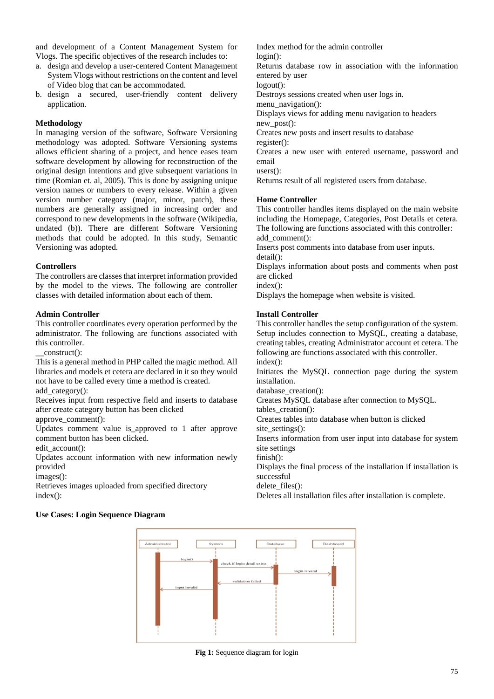and development of a Content Management System for Vlogs. The specific objectives of the research includes to:

- a. design and develop a user-centered Content Management System Vlogs without restrictions on the content and level of Video blog that can be accommodated.
- b. design a secured, user-friendly content delivery application.

# **Methodology**

In managing version of the software, Software Versioning methodology was adopted. Software Versioning systems allows efficient sharing of a project, and hence eases team software development by allowing for reconstruction of the original design intentions and give subsequent variations in time (Romian et. al, 2005). This is done by assigning unique version names or numbers to every release. Within a given version number category (major, minor, patch), these numbers are generally assigned in increasing order and correspond to new developments in the software (Wikipedia, undated (b)). There are different Software Versioning methods that could be adopted. In this study, Semantic Versioning was adopted.

## **Controllers**

The controllers are classes that interpret information provided by the model to the views. The following are controller classes with detailed information about each of them.

### **Admin Controller**

This controller coordinates every operation performed by the administrator. The following are functions associated with this controller.

construct():

This is a general method in PHP called the magic method. All libraries and models et cetera are declared in it so they would not have to be called every time a method is created. add\_category():

Receives input from respective field and inserts to database after create category button has been clicked

approve\_comment():

Updates comment value is\_approved to 1 after approve comment button has been clicked.

edit\_account():

Updates account information with new information newly provided

images():

Retrieves images uploaded from specified directory index():

Index method for the admin controller login():

Returns database row in association with the information entered by user

logout():

Destroys sessions created when user logs in.

menu\_navigation():

Displays views for adding menu navigation to headers new post():

Creates new posts and insert results to database

register():

Creates a new user with entered username, password and email

users():

Returns result of all registered users from database.

### **Home Controller**

This controller handles items displayed on the main website including the Homepage, Categories, Post Details et cetera. The following are functions associated with this controller: add\_comment():

Inserts post comments into database from user inputs. detail():

Displays information about posts and comments when post are clicked

index():

Displays the homepage when website is visited.

### **Install Controller**

This controller handles the setup configuration of the system. Setup includes connection to MySQL, creating a database, creating tables, creating Administrator account et cetera. The following are functions associated with this controller. index():

Initiates the MySQL connection page during the system installation.

database creation():

Creates MySQL database after connection to MySQL.

tables creation():

Creates tables into database when button is clicked site\_settings():

Inserts information from user input into database for system site settings

finish():

Displays the final process of the installation if installation is successful

delete\_files():

Deletes all installation files after installation is complete.





**Fig 1:** Sequence diagram for login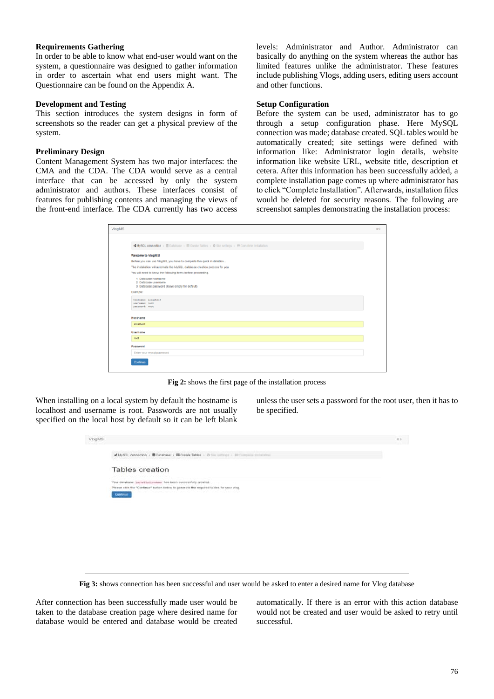# **Requirements Gathering**

In order to be able to know what end-user would want on the system, a questionnaire was designed to gather information in order to ascertain what end users might want. The Questionnaire can be found on the Appendix A.

# **Development and Testing**

This section introduces the system designs in form of screenshots so the reader can get a physical preview of the system.

# **Preliminary Design**

Content Management System has two major interfaces: the CMA and the CDA. The CDA would serve as a central interface that can be accessed by only the system administrator and authors. These interfaces consist of features for publishing contents and managing the views of the front-end interface. The CDA currently has two access

levels: Administrator and Author. Administrator can basically do anything on the system whereas the author has limited features unlike the administrator. These features include publishing Vlogs, adding users, editing users account and other functions.

# **Setup Configuration**

Before the system can be used, administrator has to go through a setup configuration phase. Here MySQL connection was made; database created. SQL tables would be automatically created; site settings were defined with information like: Administrator login details, website information like website URL, website title, description et cetera. After this information has been successfully added, a complete installation page comes up where administrator has to click "Complete Installation". Afterwards, installation files would be deleted for security reasons. The following are screenshot samples demonstrating the installation process:

| MySQL connection > E Database > E Create Tables > $\Phi$ Site settings > 14 Complete Installation |  |
|---------------------------------------------------------------------------------------------------|--|
| Welcome to ViogMS!                                                                                |  |
| Before you can use VlogMS, you have to complete this quick installation                           |  |
| The installation will automate the MySQL database creation process for you.                       |  |
| You will need to know the following items before proceeding.                                      |  |
| 1. Database hostname<br>2. Database username<br>3. Database password (leave empty for default)    |  |
| Example:                                                                                          |  |
| hostname: localhost<br>username: root<br>password: root                                           |  |
| Hostname                                                                                          |  |
| localhost                                                                                         |  |
| Usemame                                                                                           |  |
| reet                                                                                              |  |
| Password                                                                                          |  |
| Enter your mysgl password                                                                         |  |
| Continue                                                                                          |  |
|                                                                                                   |  |

**Fig 2:** shows the first page of the installation process

When installing on a local system by default the hostname is localhost and username is root. Passwords are not usually specified on the local host by default so it can be left blank

unless the user sets a password for the root user, then it has to be specified.

| ViegMS |                                                                                                                                                                                             | 0.9 |
|--------|---------------------------------------------------------------------------------------------------------------------------------------------------------------------------------------------|-----|
|        | <br>49 MySQL connection < B Database > B Create Tables < B case service < Birchargente instances                                                                                            |     |
|        | Tables creation                                                                                                                                                                             |     |
|        | Your database (sussiliationales) has been successfully created.<br>Please click the "Continue" button below to generate the required tables for your ving-<br>- 1950 - STATISTIC STATISTICS |     |
|        | <b>COMMISSION</b>                                                                                                                                                                           |     |
|        |                                                                                                                                                                                             |     |
|        |                                                                                                                                                                                             |     |
|        |                                                                                                                                                                                             |     |
|        |                                                                                                                                                                                             |     |

**Fig 3:** shows connection has been successful and user would be asked to enter a desired name for Vlog database

After connection has been successfully made user would be taken to the database creation page where desired name for database would be entered and database would be created

automatically. If there is an error with this action database would not be created and user would be asked to retry until successful.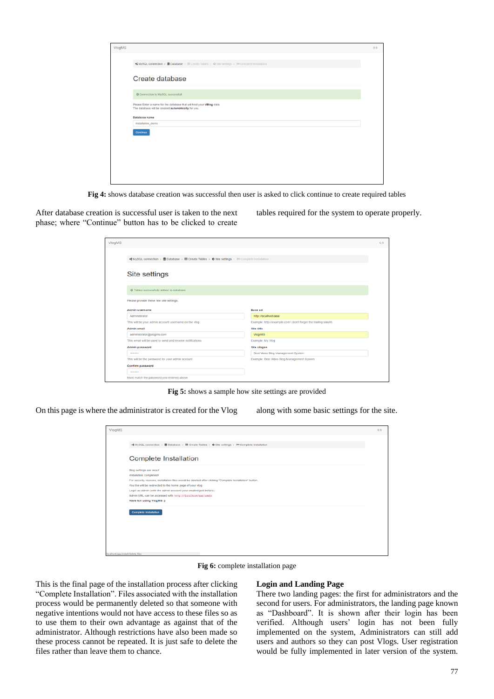| VlogMS |                                                                                                                             | 0.9 |
|--------|-----------------------------------------------------------------------------------------------------------------------------|-----|
|        | <br>MySQL connection > BDatabase > IIII Create Tables > © Site settings >  9 Complete Installation                          |     |
|        | Create database                                                                                                             |     |
|        | © Connection to MySQL successfull                                                                                           |     |
|        | Please Enter a name for the database that will host your VBlog data.<br>The database will be created automatically for you. |     |
|        | Database name                                                                                                               |     |
|        | installation_demo<br>Continue                                                                                               |     |
|        |                                                                                                                             |     |
|        |                                                                                                                             |     |
|        |                                                                                                                             |     |

**Fig 4:** shows database creation was successful then user is asked to click continue to create required tables

After database creation is successful user is taken to the next phase; where "Continue" button has to be clicked to create tables required for the system to operate properly.

| VlogMS |                                                                                                                                                                           |                                                                 | 0.9 |
|--------|---------------------------------------------------------------------------------------------------------------------------------------------------------------------------|-----------------------------------------------------------------|-----|
|        |                                                                                                                                                                           |                                                                 |     |
|        | $\blacktriangleleft$ MySQL connection > $\blacksquare$ Database > $\blacksquare$ Create Tables > $\lozenge$ Site settings > $\blacktriangleright$ B Complete Installation |                                                                 |     |
|        |                                                                                                                                                                           |                                                                 |     |
|        | Site settings                                                                                                                                                             |                                                                 |     |
|        |                                                                                                                                                                           |                                                                 |     |
|        | @ Tables successfully added to database                                                                                                                                   |                                                                 |     |
|        |                                                                                                                                                                           |                                                                 |     |
|        | Please provide these few site settings.                                                                                                                                   |                                                                 |     |
|        | <b>Admin username</b>                                                                                                                                                     | <b>Base un</b>                                                  |     |
|        | Administrator                                                                                                                                                             | http://localhost/aaa/                                           |     |
|        | This will be your admin account username on the vlog                                                                                                                      | Example: http://example.com/ (don't forget the trailing slashf) |     |
|        | <b>Admin email</b>                                                                                                                                                        | <b>Site title</b>                                               |     |
|        | administrator@vlogms.com                                                                                                                                                  | Viog MS                                                         |     |
|        | This email will be used to send and receive notifications                                                                                                                 | Example: My Vlog                                                |     |
|        | <b>Admin password</b>                                                                                                                                                     | Site slogan                                                     |     |
|        | --------                                                                                                                                                                  | Best Video Blog Management System                               |     |
|        | This will be the password for your admin account                                                                                                                          | Example: Best Video Blog Management System                      |     |
|        | Confirm password                                                                                                                                                          |                                                                 |     |
|        | ********                                                                                                                                                                  |                                                                 |     |
|        | Must match the password you entered above                                                                                                                                 |                                                                 |     |

**Fig 5:** shows a sample how site settings are provided

On this page is where the administrator is created for the Vlog along with some basic settings for the site.

| <b>VlogMS</b> |                                                                                                                                     | 0.9 |
|---------------|-------------------------------------------------------------------------------------------------------------------------------------|-----|
|               | ■ MySQL connection > Database > III Create Tables > $\bullet$ Site settings > >> >> Complete Installation                           |     |
|               | Complete Installation                                                                                                               |     |
|               | Blog settings are okay!                                                                                                             |     |
|               | Installation completed!<br>For security reasons, installation files would be deleted after clicking "Complete Installation" button. |     |
|               | You the will be redirected to the home page of your vlog.                                                                           |     |
|               | Login as admin (with the admin account your created just before)                                                                    |     |
|               | Admin URL can be accessed with http://localhost/aaa/admin                                                                           |     |
|               | Have fun using VlogM\$ :)                                                                                                           |     |
|               | <b>Complete Installation</b>                                                                                                        |     |
|               |                                                                                                                                     |     |
|               |                                                                                                                                     |     |
|               |                                                                                                                                     |     |
|               |                                                                                                                                     |     |
|               | localhost/asa/install/delete_files                                                                                                  |     |

**Fig 6:** complete installation page

This is the final page of the installation process after clicking "Complete Installation". Files associated with the installation process would be permanently deleted so that someone with negative intentions would not have access to these files so as to use them to their own advantage as against that of the administrator. Although restrictions have also been made so these process cannot be repeated. It is just safe to delete the files rather than leave them to chance.

#### **Login and Landing Page**

There two landing pages: the first for administrators and the second for users. For administrators, the landing page known as "Dashboard". It is shown after their login has been verified. Although users' login has not been fully implemented on the system, Administrators can still add users and authors so they can post Vlogs. User registration would be fully implemented in later version of the system.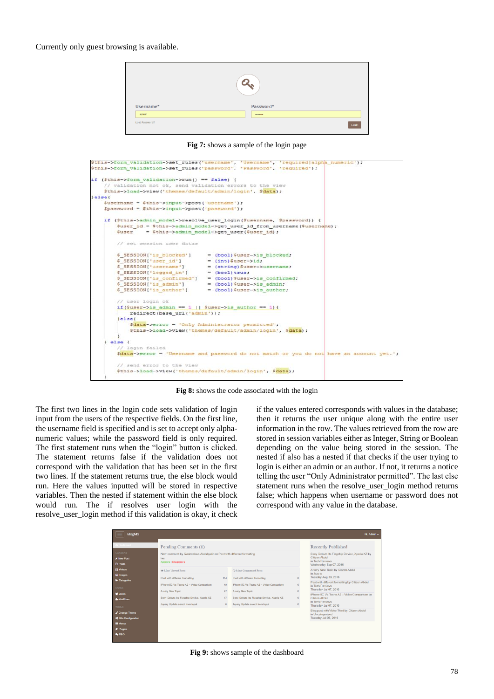Currently only guest browsing is available.



**Fig 7:** shows a sample of the login page

|                                                                    | Sthis->form validation->set rules('username', 'Username', 'required alpha numeric');     |  |
|--------------------------------------------------------------------|------------------------------------------------------------------------------------------|--|
|                                                                    | \$this->form validation->set rules ('password', 'Password', 'required');                 |  |
|                                                                    |                                                                                          |  |
| if (\$this->form validation->run() == false) {                     |                                                                                          |  |
| // validation not ok, send validation errors to the view           |                                                                                          |  |
| \$this->load->view('themes/default/admin/login', \$data);          |                                                                                          |  |
| lelse                                                              |                                                                                          |  |
| Susername = Sthis->input->post('username');                        |                                                                                          |  |
| \$password = \$this->input->post('password');                      |                                                                                          |  |
|                                                                    | if (Sthis->admin model->resolve user login(Susername, Spassword)) {                      |  |
|                                                                    | \$user id = \$this->admin model->get user id from username (\$username) ;                |  |
| $Suser = Sthis - \lambda dmin model - \lambda get user(Suser id);$ |                                                                                          |  |
| // set session user datas                                          |                                                                                          |  |
|                                                                    | \$ SESSION['is blocked'] = (bool) \$user->is blocked;                                    |  |
| \$ SESSION['user id']                                              | $=$ (int) \$user->id;                                                                    |  |
| \$ SESSION['username']                                             | = (string) \$user->username;                                                             |  |
| \$ SESSION['logged in'] = (bool)true;                              |                                                                                          |  |
|                                                                    | \$ SESSION['is confirmed'] = (bool)\$user->is confirmed;                                 |  |
| \$ SESSION['is admin']                                             | $=$ (bool) \$user->is admin;                                                             |  |
| \$ SESSION['is author']                                            | - (bool) Suser->is author;                                                               |  |
| // user login ok                                                   |                                                                                          |  |
| if(Suser->is admin == 1    Suser->is author == 1){                 |                                                                                          |  |
| redirect (base url ('admin'));                                     |                                                                                          |  |
| lelesc                                                             |                                                                                          |  |
|                                                                    | \$data->error = 'Only Administrator permitted';                                          |  |
|                                                                    | \$this->load->view('themes/default/admin/login', \$data);                                |  |
|                                                                    |                                                                                          |  |
| $1$ else $($                                                       |                                                                                          |  |
| // login failed                                                    |                                                                                          |  |
|                                                                    | \$data->error = 'Username and password do not match or you do not have an account yet.'; |  |
| // send error to the view                                          |                                                                                          |  |
|                                                                    | \$this->load->view('themes/default/admin/login', \$data);                                |  |
|                                                                    |                                                                                          |  |
|                                                                    |                                                                                          |  |

**Fig 8:** shows the code associated with the login

The first two lines in the login code sets validation of login input from the users of the respective fields. On the first line, the username field is specified and is set to accept only alphanumeric values; while the password field is only required. The first statement runs when the "login" button is clicked. The statement returns false if the validation does not correspond with the validation that has been set in the first two lines. If the statement returns true, the else block would run. Here the values inputted will be stored in respective variables. Then the nested if statement within the else block would run. The if resolves user login with the resolve user login method if this validation is okay, it check

if the values entered corresponds with values in the database; then it returns the user unique along with the entire user information in the row. The values retrieved from the row are stored in session variables either as Integer, String or Boolean depending on the value being stored in the session. The nested if also has a nested if that checks if the user trying to login is either an admin or an author. If not, it returns a notice telling the user "Only Administrator permitted". The last else statement runs when the resolve\_user\_login method returns false; which happens when username or password does not correspond with any value in the database.

|                                                          | Pending Comments (1)                                                                                  |          |                                                                  | <b>Recently Published</b>                                                                                        |
|----------------------------------------------------------|-------------------------------------------------------------------------------------------------------|----------|------------------------------------------------------------------|------------------------------------------------------------------------------------------------------------------|
| <b>CONTENT</b><br><b>A New Post</b><br><b>C</b> Posts    | New comment by Qadzealous Abdulgadir on Post with different formatting<br>hey<br>Approve   Disapprove |          |                                                                  | Sony Debuts Its Flagship Device, Xperia XZ by<br>Citizen Abdul<br>in Tech Reviews<br>Wednesday Sep 07, 2016      |
| <b>B</b> Videos<br><b>ER Images</b>                      | <b>60 Most Viewed Posts</b><br>Post with different formatting                                         | 114      | <b>Ca Most Commented Posts</b><br>Post with different formatting | A very New Topic by Citizen Abdul<br>in Sports<br>Tuesday Aug 30, 2016                                           |
| <b>b</b> Categories<br><b>USERS</b>                      | IPhone 5C Vs Tecno A2 - Video Comparison<br>A very New Topic                                          | 49<br>27 | iPhone 5C Vs Tecno A2 - Video Comparison<br>A very New Topic     | Post with different formatting by Citizen Abdul<br>in Tech Reviews<br>Thursday Jul 07, 2016                      |
| <b>W</b> Users<br><b>A.</b> Add User                     | Sony Debuts Its Flagship Device, Xperia XZ                                                            | 17       | Sony Debuts Its Flagship Device, Xperia XZ                       | iPhone 5C Vs Tecno A2 - Video Comparison by<br>Citizen Abdul<br>in Tech Reviews                                  |
| TOOLS:<br>✔ Change Theme<br><b>of</b> Site Configuration | Jouery Update select from input                                                                       |          | Jquery Update select from input                                  | Thursday Jul 07, 2016<br>Blog post with Video Third by Citizen Abdul<br>in Uncategorized<br>Tuesday Jul 05, 2016 |
| <b>III</b> Menus<br>& Plugins                            |                                                                                                       |          |                                                                  |                                                                                                                  |

**Fig 9:** shows sample of the dashboard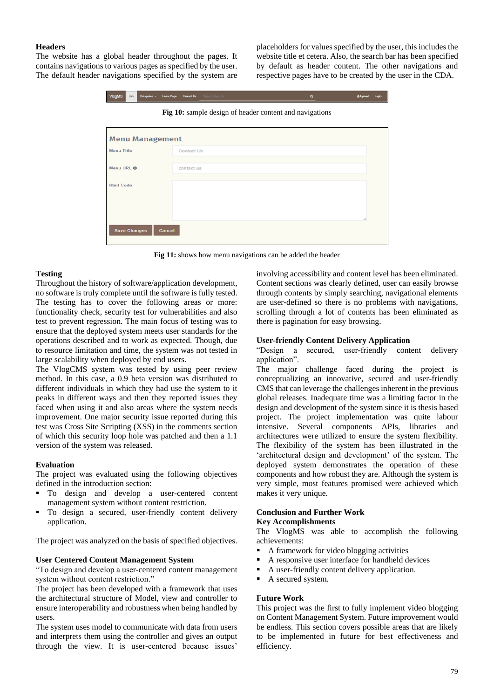# **Headers**

The website has a global header throughout the pages. It contains navigations to various pages as specified by the user. The default header navigations specified by the system are

placeholders for values specified by the user, this includes the website title et cetera. Also, the search bar has been specified by default as header content. The other navigations and respective pages have to be created by the user in the CDA.

| <b>Menu Management</b>                 |  |  |
|----------------------------------------|--|--|
|                                        |  |  |
| <b>Menu Title</b><br><b>Contact Us</b> |  |  |
| Menu URL <sup>O</sup><br>contact-us    |  |  |
| <b>Html Code</b>                       |  |  |

**Fig 11:** shows how menu navigations can be added the header

## **Testing**

Throughout the history of software/application development, no software is truly complete until the software is fully tested. The testing has to cover the following areas or more: functionality check, security test for vulnerabilities and also test to prevent regression. The main focus of testing was to ensure that the deployed system meets user standards for the operations described and to work as expected. Though, due to resource limitation and time, the system was not tested in large scalability when deployed by end users.

The VlogCMS system was tested by using peer review method. In this case, a 0.9 beta version was distributed to different individuals in which they had use the system to it peaks in different ways and then they reported issues they faced when using it and also areas where the system needs improvement. One major security issue reported during this test was Cross Site Scripting (XSS) in the comments section of which this security loop hole was patched and then a 1.1 version of the system was released.

## **Evaluation**

The project was evaluated using the following objectives defined in the introduction section:

- To design and develop a user-centered content management system without content restriction.
- To design a secured, user-friendly content delivery application.

The project was analyzed on the basis of specified objectives.

## **User Centered Content Management System**

"To design and develop a user-centered content management system without content restriction."

The project has been developed with a framework that uses the architectural structure of Model, view and controller to ensure interoperability and robustness when being handled by users.

The system uses model to communicate with data from users and interprets them using the controller and gives an output through the view. It is user-centered because issues'

involving accessibility and content level has been eliminated. Content sections was clearly defined, user can easily browse through contents by simply searching, navigational elements are user-defined so there is no problems with navigations, scrolling through a lot of contents has been eliminated as there is pagination for easy browsing.

# **User-friendly Content Delivery Application**

"Design a secured, user-friendly content delivery application".

The major challenge faced during the project is conceptualizing an innovative, secured and user-friendly CMS that can leverage the challenges inherent in the previous global releases. Inadequate time was a limiting factor in the design and development of the system since it is thesis based project. The project implementation was quite labour intensive. Several components APIs, libraries and architectures were utilized to ensure the system flexibility. The flexibility of the system has been illustrated in the 'architectural design and development' of the system. The deployed system demonstrates the operation of these components and how robust they are. Although the system is very simple, most features promised were achieved which makes it very unique.

# **Conclusion and Further Work**

# **Key Accomplishments**

The VlogMS was able to accomplish the following achievements:

- A framework for video blogging activities
- A responsive user interface for handheld devices
- A user-friendly content delivery application.
- A secured system.

## **Future Work**

This project was the first to fully implement video blogging on Content Management System. Future improvement would be endless. This section covers possible areas that are likely to be implemented in future for best effectiveness and efficiency.